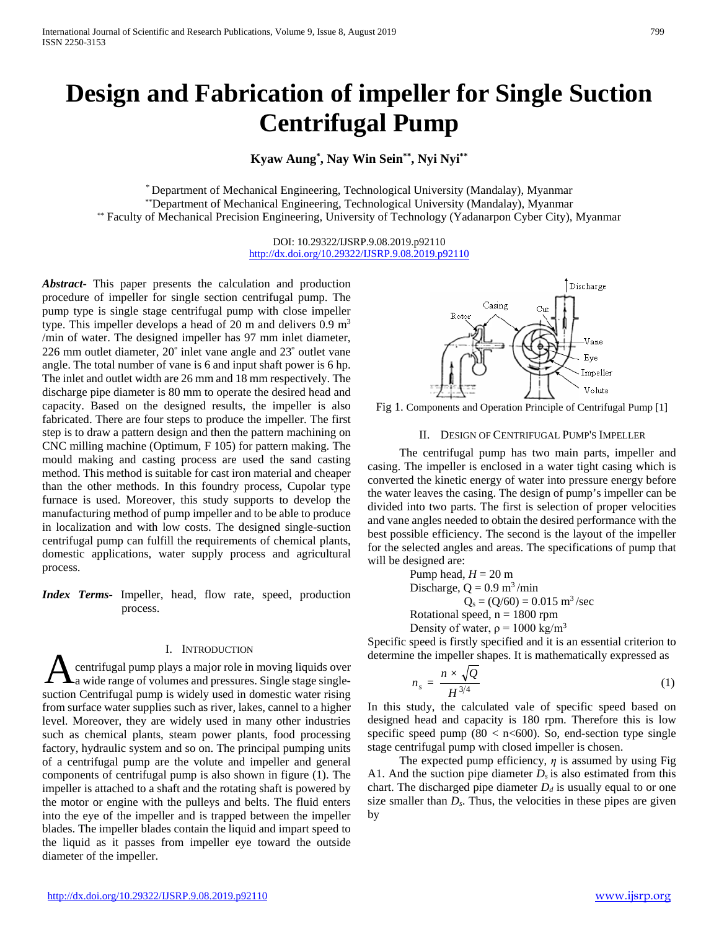# **Design and Fabrication of impeller for Single Suction Centrifugal Pump**

**Kyaw Aung\* , Nay Win Sein\*\*, Nyi Nyi\*\***

\* Department of Mechanical Engineering, Technological University (Mandalay), Myanmar \*\*Department of Mechanical Engineering, Technological University (Mandalay), Myanmar \*\* Faculty of Mechanical Precision Engineering, University of Technology (Yadanarpon Cyber City), Myanmar

> DOI: 10.29322/IJSRP.9.08.2019.p92110 <http://dx.doi.org/10.29322/IJSRP.9.08.2019.p92110>

*Abstract***-** This paper presents the calculation and production procedure of impeller for single section centrifugal pump. The pump type is single stage centrifugal pump with close impeller type. This impeller develops a head of 20 m and delivers  $0.9 \text{ m}^3$ /min of water. The designed impeller has 97 mm inlet diameter, 226 mm outlet diameter, 20˚ inlet vane angle and 23˚ outlet vane angle. The total number of vane is 6 and input shaft power is 6 hp. The inlet and outlet width are 26 mm and 18 mm respectively. The discharge pipe diameter is 80 mm to operate the desired head and capacity. Based on the designed results, the impeller is also fabricated. There are four steps to produce the impeller. The first step is to draw a pattern design and then the pattern machining on CNC milling machine (Optimum, F 105) for pattern making. The mould making and casting process are used the sand casting method. This method is suitable for cast iron material and cheaper than the other methods. In this foundry process, Cupolar type furnace is used. Moreover, this study supports to develop the manufacturing method of pump impeller and to be able to produce in localization and with low costs. The designed single-suction centrifugal pump can fulfill the requirements of chemical plants, domestic applications, water supply process and agricultural process.

*Index Terms*- Impeller, head, flow rate, speed, production process.

## I. INTRODUCTION

centrifugal pump plays a major role in moving liquids over a wide range of volumes and pressures. Single stage single-**Such a such as a such that the such starts and the such as a such a such a such a such a such such that the such such such such such that the such such that the such such such that the such such such that the such such su** from surface water supplies such as river, lakes, cannel to a higher level. Moreover, they are widely used in many other industries such as chemical plants, steam power plants, food processing factory, hydraulic system and so on. The principal pumping units of a centrifugal pump are the volute and impeller and general components of centrifugal pump is also shown in figure (1). The impeller is attached to a shaft and the rotating shaft is powered by the motor or engine with the pulleys and belts. The fluid enters into the eye of the impeller and is trapped between the impeller blades. The impeller blades contain the liquid and impart speed to the liquid as it passes from impeller eye toward the outside diameter of the impeller.



Fig 1. Components and Operation Principle of Centrifugal Pump [1]

## II. DESIGN OF CENTRIFUGAL PUMP'S IMPELLER

The centrifugal pump has two main parts, impeller and casing. The impeller is enclosed in a water tight casing which is converted the kinetic energy of water into pressure energy before the water leaves the casing. The design of pump's impeller can be divided into two parts. The first is selection of proper velocities and vane angles needed to obtain the desired performance with the best possible efficiency. The second is the layout of the impeller for the selected angles and areas. The specifications of pump that will be designed are:

> Pump head,  $H = 20$  m Discharge,  $Q = 0.9$  m<sup>3</sup>/min  $Q_s = (Q/60) = 0.015$  m<sup>3</sup>/sec Rotational speed,  $n = 1800$  rpm Density of water,  $\rho = 1000 \text{ kg/m}^3$

Specific speed is firstly specified and it is an essential criterion to determine the impeller shapes. It is mathematically expressed as

$$
n_s = \frac{n \times \sqrt{Q}}{H^{3/4}} \tag{1}
$$

In this study, the calculated vale of specific speed based on designed head and capacity is 180 rpm. Therefore this is low specific speed pump (80 <  $n \le 600$ ). So, end-section type single stage centrifugal pump with closed impeller is chosen.

The expected pump efficiency, *η* is assumed by using Fig A1. And the suction pipe diameter  $D<sub>s</sub>$  is also estimated from this chart. The discharged pipe diameter  $D_d$  is usually equal to or one size smaller than *Ds*. Thus, the velocities in these pipes are given by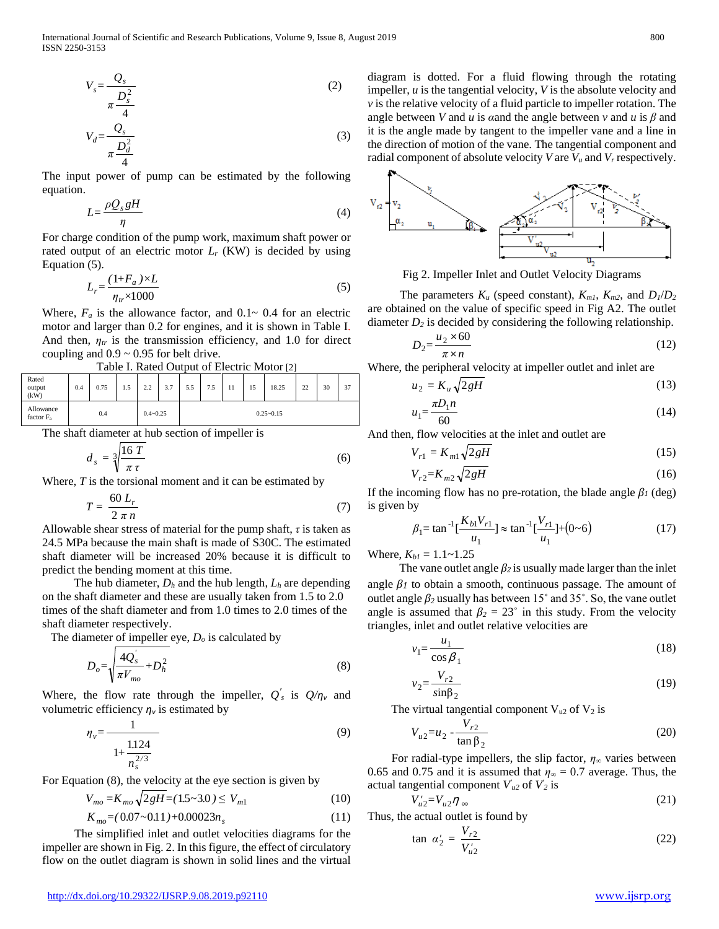$$
V_s = \frac{Q_s}{\pi \frac{D_s^2}{r}}\tag{2}
$$

$$
V_d = \frac{Q_s}{\pi \frac{D_d^2}{4}}
$$
 (3)

The input power of pump can be estimated by the following equation.

$$
L = \frac{\rho Q_s g H}{\eta} \tag{4}
$$

For charge condition of the pump work, maximum shaft power or rated output of an electric motor  $L_r$  (KW) is decided by using Equation (5).

$$
L_r = \frac{(1+F_a) \times L}{\eta_{tr} \times 1000} \tag{5}
$$

Where,  $F_a$  is the allowance factor, and  $0.1 \sim 0.4$  for an electric motor and larger than 0.2 for engines, and it is shown in Table I. And then,  $\eta_{tr}$  is the transmission efficiency, and 1.0 for direct coupling and  $0.9 \sim 0.95$  for belt drive.

Table I. Rated Output of Electric Motor [2]

| Rated<br>output<br>(kW)   | 0.4 | 0.75 | 1.5          | 2.2 | 3.7           | 5.5 | 7.5 | 11 | 15 | 18.25 | 22<br>∸ | 30 | 37 |
|---------------------------|-----|------|--------------|-----|---------------|-----|-----|----|----|-------|---------|----|----|
| Allowance<br>factor $F_a$ | 0.4 |      | $0.4 - 0.25$ |     | $0.25 - 0.15$ |     |     |    |    |       |         |    |    |

The shaft diameter at hub section of impeller is

$$
d_s = \sqrt[3]{\frac{16 \ T}{\pi \tau}}
$$
 (6)

Where, *T* is the torsional moment and it can be estimated by

$$
T = \frac{60 L_r}{2 \pi n} \tag{7}
$$

Allowable shear stress of material for the pump shaft, *τ* is taken as 24.5 MPa because the main shaft is made of S30C. The estimated shaft diameter will be increased 20% because it is difficult to predict the bending moment at this time.

The hub diameter, *Dh* and the hub length, *Lh* are depending on the shaft diameter and these are usually taken from 1.5 to 2.0 times of the shaft diameter and from 1.0 times to 2.0 times of the shaft diameter respectively.

The diameter of impeller eye, *Do* is calculated by

$$
D_o = \sqrt{\frac{4Q_s'}{\pi V_{mo}}} + D_h^2
$$
 (8)

Where, the flow rate through the impeller,  $Q'_{s}$  is  $Q/\eta_{v}$  and volumetric efficiency *η<sup>v</sup>* is estimated by

$$
\eta_{\nu} = \frac{1}{1 + \frac{1.124}{n_s^{2/3}}} \tag{9}
$$

For Equation (8), the velocity at the eye section is given by

$$
V_{mo} = K_{mo} \sqrt{2gH} = (1.5 \sim 3.0) \le V_{m1}
$$
 (10)

$$
K_{mo} = (0.07 - 0.11) + 0.00023n_s \tag{11}
$$

The simplified inlet and outlet velocities diagrams for the impeller are shown in Fig. 2. In this figure, the effect of circulatory flow on the outlet diagram is shown in solid lines and the virtual diagram is dotted. For a fluid flowing through the rotating impeller, *u* is the tangential velocity, *V* is the absolute velocity and *v* is the relative velocity of a fluid particle to impeller rotation. The angle between *V* and *u* is *a*and the angle between *v* and *u* is  $\beta$  and it is the angle made by tangent to the impeller vane and a line in the direction of motion of the vane. The tangential component and radial component of absolute velocity  $V$  are  $V_u$  and  $V_r$  respectively.



Fig 2. Impeller Inlet and Outlet Velocity Diagrams

The parameters  $K_u$  (speed constant),  $K_{m1}$ ,  $K_{m2}$ , and  $D_l/D_2$ are obtained on the value of specific speed in Fig A2. The outlet diameter  $D_2$  is decided by considering the following relationship.

$$
D_2 = \frac{u_2 \times 60}{\pi \times n} \tag{12}
$$

Where, the peripheral velocity at impeller outlet and inlet are

$$
u_2 = K_u \sqrt{2gH} \tag{13}
$$

$$
u_1 = \frac{\pi D_1 n}{60} \tag{14}
$$

And then, flow velocities at the inlet and outlet are

$$
V_{r1} = K_{m1} \sqrt{2gH} \tag{15}
$$

$$
V_{r2} = K_{m2} \sqrt{2gH} \tag{16}
$$

If the incoming flow has no pre-rotation, the blade angle  $\beta_1$  (deg) is given by

$$
\beta_1 = \tan^{-1}\left[\frac{K_{b1}V_{r1}}{u_1}\right] \approx \tan^{-1}\left[\frac{V_{r1}}{u_1}\right] + (0 \sim 6) \tag{17}
$$

Where,  $K_{b1} = 1.1 - 1.25$ 

The vane outlet angle  $\beta_2$  is usually made larger than the inlet angle  $\beta_1$  to obtain a smooth, continuous passage. The amount of outlet angle *β<sup>2</sup>* usually has between 15˚ and 35˚. So, the vane outlet angle is assumed that  $\beta_2 = 23^\circ$  in this study. From the velocity triangles, inlet and outlet relative velocities are

$$
v_1 = \frac{u_1}{\cos \beta_1} \tag{18}
$$

$$
v_2 = \frac{V_{r2}}{\sin \beta_2} \tag{19}
$$

The virtual tangential component  $V_{u2}$  of  $V_2$  is

$$
V_{u2} = u_2 - \frac{V_{r2}}{\tan \beta_2} \tag{20}
$$

For radial-type impellers, the slip factor,  $\eta_{\infty}$  varies between 0.65 and 0.75 and it is assumed that  $\eta_{\infty} = 0.7$  average. Thus, the actual tangential component *V′ u2* of *V′ <sup>2</sup>* is

$$
V_{u2} = V_{u2} \eta_{\infty} \tag{21}
$$

Thus, the actual outlet is found by

$$
\tan \alpha_2' = \frac{V_{r2}}{V_{u2}'} \tag{22}
$$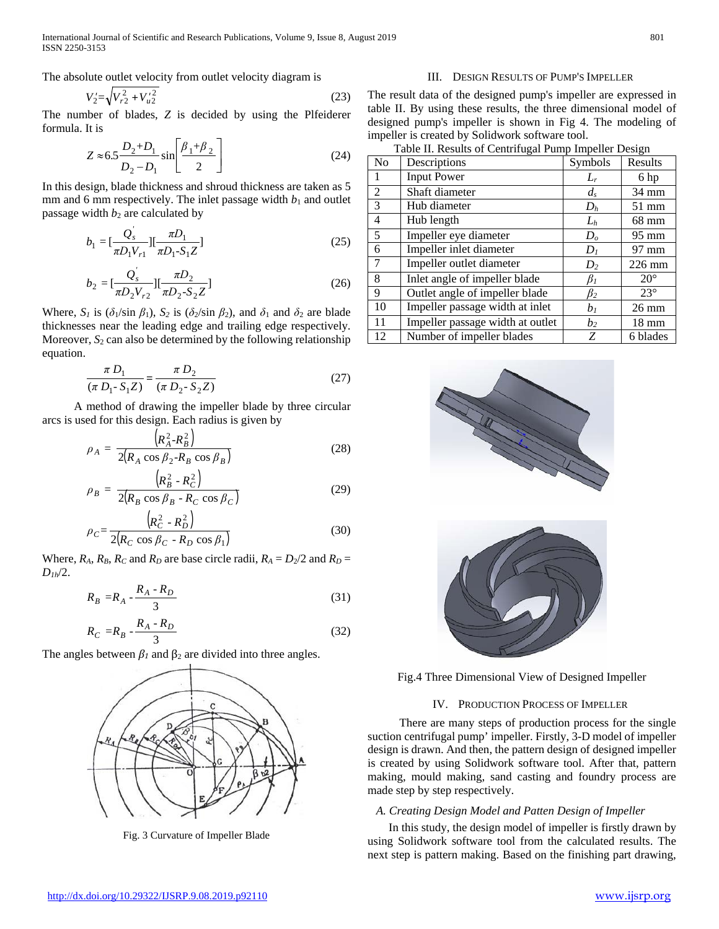International Journal of Scientific and Research Publications, Volume 9, Issue 8, August 2019 801 ISSN 2250-3153

The absolute outlet velocity from outlet velocity diagram is

$$
V_2' = \sqrt{V_{r2}^2 + V_{u2}'^2}
$$
 (23)

The number of blades, *Z* is decided by using the Plfeiderer formula. It is

$$
Z \approx 6.5 \frac{D_2 + D_1}{D_2 - D_1} \sin \left[ \frac{\beta_1 + \beta_2}{2} \right]
$$
 (24)

In this design, blade thickness and shroud thickness are taken as 5 mm and 6 mm respectively. The inlet passage width  $b_1$  and outlet passage width  $b_2$  are calculated by

$$
b_1 = \left[\frac{Q_s}{\pi D_1 V_{r1}}\right] \left[\frac{\pi D_1}{\pi D_1 \cdot S_1 Z}\right] \tag{25}
$$

$$
b_2 = \left[\frac{Q_s^{'}}{\pi D_2 V_{r2}}\right] \left[\frac{\pi D_2}{\pi D_2 \cdot S_2 Z}\right] \tag{26}
$$

Where,  $S_1$  is ( $\delta_1$ /sin  $\beta_1$ ),  $S_2$  is ( $\delta_2$ /sin  $\beta_2$ ), and  $\delta_1$  and  $\delta_2$  are blade thicknesses near the leading edge and trailing edge respectively. Moreover,  $S_2$  can also be determined by the following relationship equation.

$$
\frac{\pi D_1}{(\pi D_1 \cdot S_1 Z)} = \frac{\pi D_2}{(\pi D_2 \cdot S_2 Z)}\tag{27}
$$

A method of drawing the impeller blade by three circular arcs is used for this design. Each radius is given by

$$
\rho_A = \frac{\left(R_A^2 - R_B^2\right)}{2\left(R_A \cos \beta_2 - R_B \cos \beta_B\right)}\tag{28}
$$

$$
\rho_B = \frac{\left(R_B^2 - R_C^2\right)}{2\left(R_B \cos \beta_B - R_C \cos \beta_C\right)}\tag{29}
$$

$$
\rho_C = \frac{\left(R_C^2 - R_D^2\right)}{2\left(R_C \cos \beta_C - R_D \cos \beta_1\right)}
$$
(30)

Where,  $R_A$ ,  $R_B$ ,  $R_C$  and  $R_D$  are base circle radii,  $R_A = D_2/2$  and  $R_D =$ *D1h*/2.

$$
R_B = R_A - \frac{R_A - R_D}{3} \tag{31}
$$

$$
R_C = R_B - \frac{R_A - R_D}{3}
$$
 (32)

The angles between  $\beta_1$  and  $\beta_2$  are divided into three angles.



Fig. 3 Curvature of Impeller Blade

## III. DESIGN RESULTS OF PUMP'S IMPELLER

The result data of the designed pump's impeller are expressed in table II. By using these results, the three dimensional model of designed pump's impeller is shown in Fig 4. The modeling of impeller is created by Solidwork software tool.

| Table II. Results of Centrifugal Pump Impeller Design |                                  |                |                 |  |  |  |  |
|-------------------------------------------------------|----------------------------------|----------------|-----------------|--|--|--|--|
| N <sub>0</sub>                                        | Descriptions                     | Symbols        | Results         |  |  |  |  |
| 1                                                     | <b>Input Power</b>               | $L_r$          | 6 hp            |  |  |  |  |
| 2                                                     | Shaft diameter                   | $d_{s}$        | 34 mm           |  |  |  |  |
| 3                                                     | Hub diameter                     | $D_h$          | $51$ mm         |  |  |  |  |
| 4                                                     | Hub length                       | $L_h$          | 68 mm           |  |  |  |  |
| 5                                                     | Impeller eye diameter            | D <sub>o</sub> | $95 \text{ mm}$ |  |  |  |  |
| 6                                                     | Impeller inlet diameter          | $D_I$          | 97 mm           |  |  |  |  |
| 7                                                     | Impeller outlet diameter         | $D_2$          | $226$ mm        |  |  |  |  |
| 8                                                     | Inlet angle of impeller blade    | $\beta_I$      | $20^{\circ}$    |  |  |  |  |
| 9                                                     | Outlet angle of impeller blade   | $\beta_2$      | $23^\circ$      |  |  |  |  |
| 10                                                    | Impeller passage width at inlet  | $b_1$          | $26 \text{ mm}$ |  |  |  |  |
| 11                                                    | Impeller passage width at outlet | b <sub>2</sub> | $18 \text{ mm}$ |  |  |  |  |
| 12                                                    | Number of impeller blades        | Z              | 6 blades        |  |  |  |  |





Fig.4 Three Dimensional View of Designed Impeller

## IV. PRODUCTION PROCESS OF IMPELLER

There are many steps of production process for the single suction centrifugal pump' impeller. Firstly, 3-D model of impeller design is drawn. And then, the pattern design of designed impeller is created by using Solidwork software tool. After that, pattern making, mould making, sand casting and foundry process are made step by step respectively.

## *A. Creating Design Model and Patten Design of Impeller*

In this study, the design model of impeller is firstly drawn by using Solidwork software tool from the calculated results. The next step is pattern making. Based on the finishing part drawing,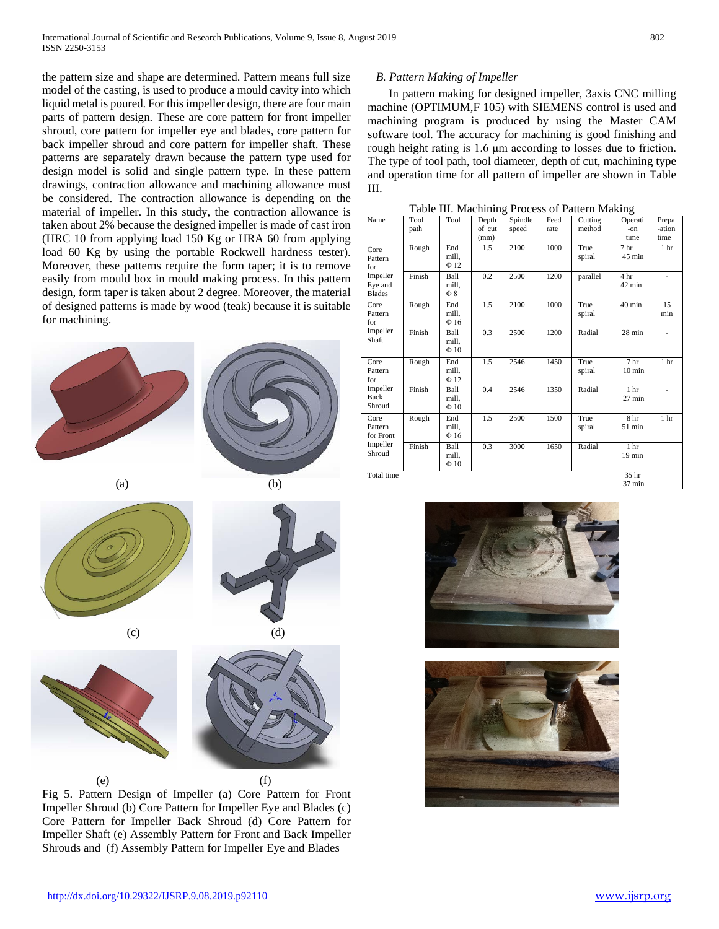the pattern size and shape are determined. Pattern means full size model of the casting, is used to produce a mould cavity into which liquid metal is poured. For this impeller design, there are four main parts of pattern design. These are core pattern for front impeller shroud, core pattern for impeller eye and blades, core pattern for back impeller shroud and core pattern for impeller shaft. These patterns are separately drawn because the pattern type used for design model is solid and single pattern type. In these pattern drawings, contraction allowance and machining allowance must be considered. The contraction allowance is depending on the material of impeller. In this study, the contraction allowance is taken about 2% because the designed impeller is made of cast iron (HRC 10 from applying load 150 Kg or HRA 60 from applying load 60 Kg by using the portable Rockwell hardness tester). Moreover, these patterns require the form taper; it is to remove easily from mould box in mould making process. In this pattern design, form taper is taken about 2 degree. Moreover, the material of designed patterns is made by wood (teak) because it is suitable for machining.







 $(e)$  (f) Fig 5. Pattern Design of Impeller (a) Core Pattern for Front Impeller Shroud (b) Core Pattern for Impeller Eye and Blades (c) Core Pattern for Impeller Back Shroud (d) Core Pattern for Impeller Shaft (e) Assembly Pattern for Front and Back Impeller Shrouds and (f) Assembly Pattern for Impeller Eye and Blades

# *B. Pattern Making of Impeller*

In pattern making for designed impeller, 3axis CNC milling machine (OPTIMUM,F 105) with SIEMENS control is used and machining program is produced by using the Master CAM software tool. The accuracy for machining is good finishing and rough height rating is 1.6 μm according to losses due to friction. The type of tool path, tool diameter, depth of cut, machining type and operation time for all pattern of impeller are shown in Table III.

|  | Table III. Machining Process of Pattern Making |
|--|------------------------------------------------|
|--|------------------------------------------------|

| Name                                                           | Tool<br>path | Tool                       | Depth<br>of cut<br>(mm) | Spindle<br>speed | Feed<br>rate | Cutting<br>method | Operati<br>$-on$<br>time            | Prepa<br>-ation<br>time |
|----------------------------------------------------------------|--------------|----------------------------|-------------------------|------------------|--------------|-------------------|-------------------------------------|-------------------------|
| Core<br>Pattern<br>for<br>Impeller<br>Eye and<br><b>Blades</b> | Rough        | End<br>mill.<br>$\Phi$ 12  | 1.5                     | 2100             | 1000         | True<br>spiral    | 7 <sub>hr</sub><br>45 min           | 1 <sub>hr</sub>         |
|                                                                | Finish       | Ball<br>mill.<br>$\Phi$ 8  | 0.2                     | 2500             | 1200         | parallel          | 4 hr<br>42 min                      | ÷,                      |
| Core<br>Pattern<br>for<br>Impeller<br>Shaft                    | Rough        | End<br>mill,<br>$\Phi$ 16  | 1.5                     | 2100             | 1000         | True<br>spiral    | $40 \text{ min}$                    | 15<br>min               |
|                                                                | Finish       | Ball<br>mill.<br>$\Phi$ 10 | 0.3                     | 2500             | 1200         | Radial            | $28$ min                            | ä,                      |
| Core<br>Pattern<br>for                                         | Rough        | End<br>mill.<br>$\Phi$ 12  | 1.5                     | 2546             | 1450         | True<br>spiral    | 7 <sub>hr</sub><br>$10 \text{ min}$ | 1 <sub>hr</sub>         |
| Impeller<br>Back<br>Shroud                                     | Finish       | Ball<br>mill.<br>$\Phi$ 10 | 0.4                     | 2546             | 1350         | Radial            | 1 <sub>hr</sub><br>$27$ min         | ä,                      |
| Core<br>Pattern<br>for Front<br>Impeller<br>Shroud             | Rough        | End<br>mill,<br>$\Phi$ 16  | 1.5                     | 2500             | 1500         | True<br>spiral    | 8 <sub>hr</sub><br>51 min           | 1 hr                    |
|                                                                | Finish       | Ball<br>mill,<br>$\Phi$ 10 | 0.3                     | 3000             | 1650         | Radial            | 1 <sub>hr</sub><br>19 min           |                         |
| Total time                                                     |              |                            |                         |                  |              |                   | 35 hr<br>37 min                     |                         |



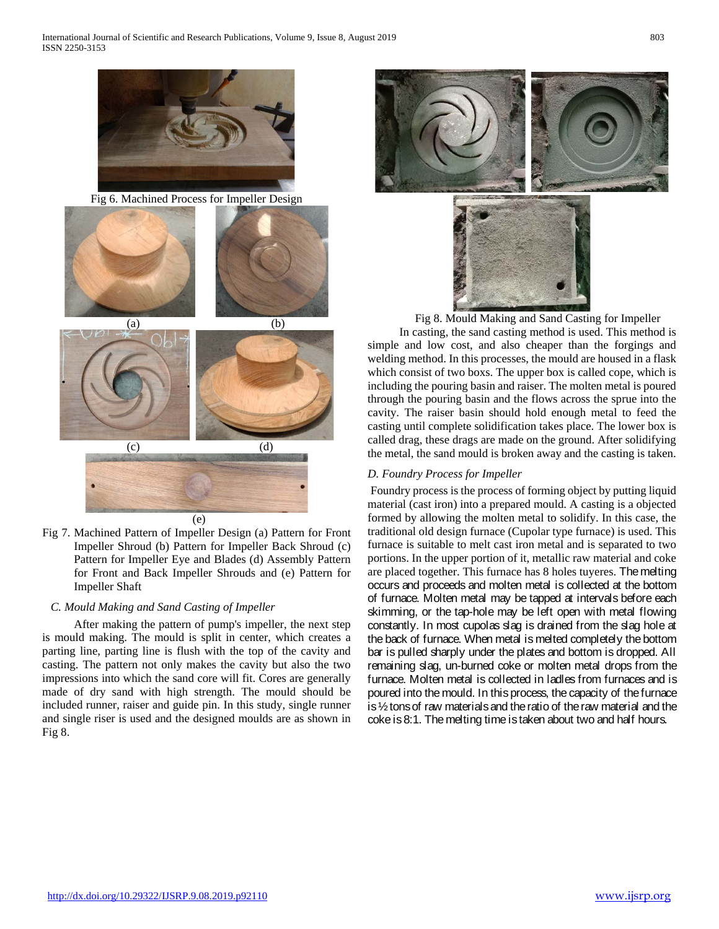

Fig 6. Machined Process for Impeller Design



Fig 7. Machined Pattern of Impeller Design (a) Pattern for Front Impeller Shroud (b) Pattern for Impeller Back Shroud (c) Pattern for Impeller Eye and Blades (d) Assembly Pattern for Front and Back Impeller Shrouds and (e) Pattern for Impeller Shaft

# *C. Mould Making and Sand Casting of Impeller*

After making the pattern of pump's impeller, the next step is mould making. The mould is split in center, which creates a parting line, parting line is flush with the top of the cavity and casting. The pattern not only makes the cavity but also the two impressions into which the sand core will fit. Cores are generally made of dry sand with high strength. The mould should be included runner, raiser and guide pin. In this study, single runner and single riser is used and the designed moulds are as shown in Fig 8.



Fig 8. Mould Making and Sand Casting for Impeller

In casting, the sand casting method is used. This method is simple and low cost, and also cheaper than the forgings and welding method. In this processes, the mould are housed in a flask which consist of two boxs. The upper box is called cope, which is including the pouring basin and raiser. The molten metal is poured through the pouring basin and the flows across the sprue into the cavity. The raiser basin should hold enough metal to feed the casting until complete solidification takes place. The lower box is called drag, these drags are made on the ground. After solidifying the metal, the sand mould is broken away and the casting is taken.

# *D. Foundry Process for Impeller*

Foundry process is the process of forming object by putting liquid material (cast iron) into a prepared mould. A casting is a objected formed by allowing the molten metal to solidify. In this case, the traditional old design furnace (Cupolar type furnace) is used. This furnace is suitable to melt cast iron metal and is separated to two portions. In the upper portion of it, metallic raw material and coke are placed together. This furnace has 8 holes tuyeres. The melting occurs and proceeds and molten metal is collected at the bottom of furnace. Molten metal may be tapped at intervals before each skimming, or the tap-hole may be left open with metal flowing constantly. In most cupolas slag is drained from the slag hole at the back of furnace. When metal is melted completely the bottom bar is pulled sharply under the plates and bottom is dropped. All remaining slag, un-burned coke or molten metal drops from the furnace. Molten metal is collected in ladles from furnaces and is poured into the mould. In this process, the capacity of the furnace is ½ tons of raw materials and the ratio of the raw material and the coke is 8:1. The melting time is taken about two and half hours.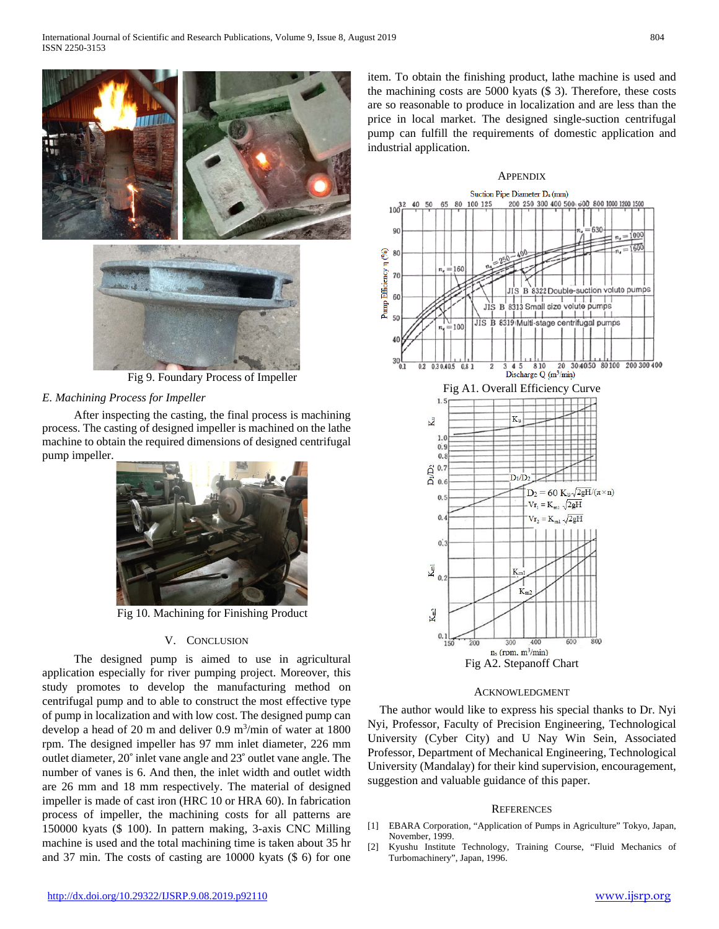

Fig 9. Foundary Process of Impeller

## *E. Machining Process for Impeller*

After inspecting the casting, the final process is machining process. The casting of designed impeller is machined on the lathe machine to obtain the required dimensions of designed centrifugal pump impeller.



Fig 10. Machining for Finishing Product

## V. CONCLUSION

The designed pump is aimed to use in agricultural application especially for river pumping project. Moreover, this study promotes to develop the manufacturing method on centrifugal pump and to able to construct the most effective type of pump in localization and with low cost. The designed pump can develop a head of 20 m and deliver  $0.9 \text{ m}^3/\text{min}$  of water at 1800 rpm. The designed impeller has 97 mm inlet diameter, 226 mm outlet diameter, 20˚ inlet vane angle and 23˚ outlet vane angle. The number of vanes is 6. And then, the inlet width and outlet width are 26 mm and 18 mm respectively. The material of designed impeller is made of cast iron (HRC 10 or HRA 60). In fabrication process of impeller, the machining costs for all patterns are 150000 kyats (\$ 100). In pattern making, 3-axis CNC Milling machine is used and the total machining time is taken about 35 hr and 37 min. The costs of casting are 10000 kyats (\$ 6) for one

item. To obtain the finishing product, lathe machine is used and the machining costs are 5000 kyats (\$ 3). Therefore, these costs are so reasonable to produce in localization and are less than the price in local market. The designed single-suction centrifugal pump can fulfill the requirements of domestic application and industrial application.

#### APPENDIX



#### ACKNOWLEDGMENT

The author would like to express his special thanks to Dr. Nyi Nyi, Professor, Faculty of Precision Engineering, Technological University (Cyber City) and U Nay Win Sein, Associated Professor, Department of Mechanical Engineering, Technological University (Mandalay) for their kind supervision, encouragement, suggestion and valuable guidance of this paper.

## **REFERENCES**

- [1] EBARA Corporation, "Application of Pumps in Agriculture" Tokyo, Japan, November, 1999.
- [2] Kyushu Institute Technology, Training Course, "Fluid Mechanics of Turbomachinery", Japan, 1996.